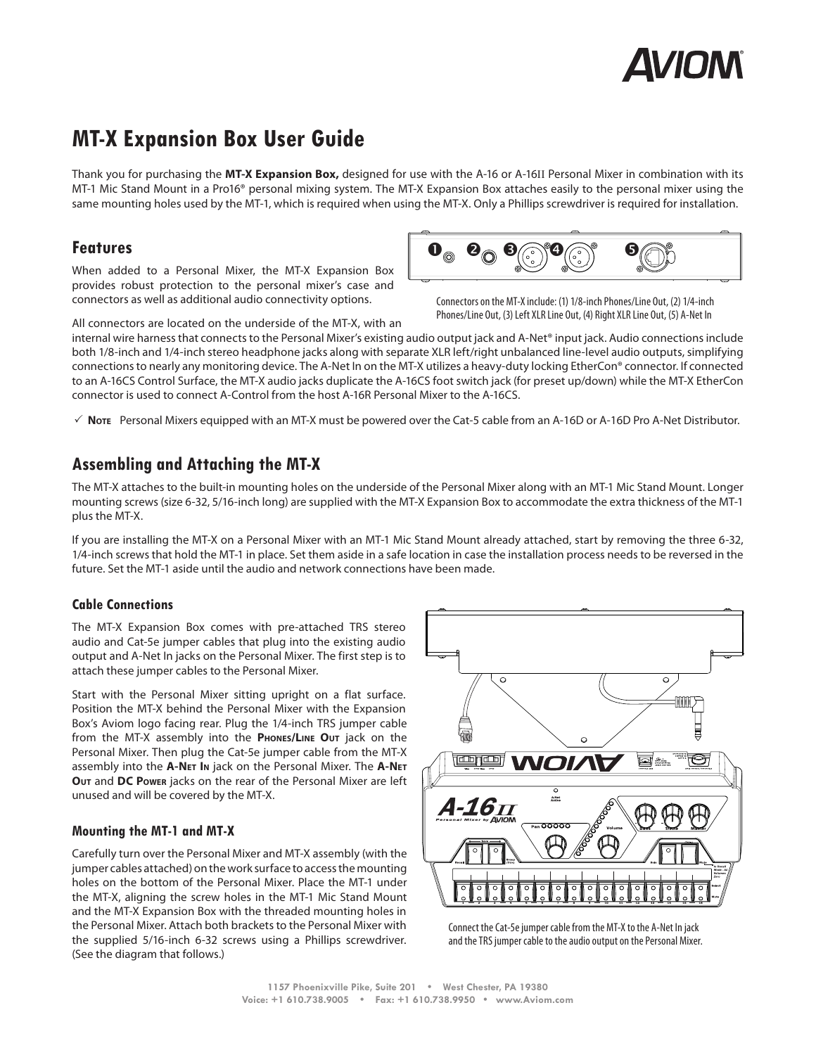

# **MT-X Expansion Box User Guide**

Thank you for purchasing the **MT-X Expansion Box,** designed for use with the A-16 or A-16II Personal Mixer in combination with its MT-1 Mic Stand Mount in a Pro16® personal mixing system. The MT-X Expansion Box attaches easily to the personal mixer using the same mounting holes used by the MT-1, which is required when using the MT-X. Only a Phillips screwdriver is required for installation.

# **Features**

When added to a Personal Mixer, the MT-X Expansion Box provides robust protection to the personal mixer's case and connectors as well as additional audio connectivity options.



Connectors on the MT-X include: (1) 1/8-inch Phones/Line Out, (2) 1/4-inch Phones/Line Out, (3) Left XLR Line Out, (4) Right XLR Line Out, (5) A-Net In

All connectors are located on the underside of the MT-X, with an

internal wire harness that connects to the Personal Mixer's existing audio output jack and A-Net® input jack. Audio connections include both 1/8-inch and 1/4-inch stereo headphone jacks along with separate XLR left/right unbalanced line-level audio outputs, simplifying connections to nearly any monitoring device. The A-Net In on the MT-X utilizes a heavy-duty locking EtherCon® connector. If connected to an A-16CS Control Surface, the MT-X audio jacks duplicate the A-16CS foot switch jack (for preset up/down) while the MT-X EtherCon connector is used to connect A-Control from the host A-16R Personal Mixer to the A-16CS.

P **Note** Personal Mixers equipped with an MT-X must be powered over the Cat-5 cable from an A-16D or A-16D Pro A-Net Distributor.

# **Assembling and Attaching the MT-X**

The MT-X attaches to the built-in mounting holes on the underside of the Personal Mixer along with an MT-1 Mic Stand Mount. Longer mounting screws (size 6-32, 5/16-inch long) are supplied with the MT-X Expansion Box to accommodate the extra thickness of the MT-1 plus the MT-X.

If you are installing the MT-X on a Personal Mixer with an MT-1 Mic Stand Mount already attached, start by removing the three 6-32, 1/4-inch screws that hold the MT-1 in place. Set them aside in a safe location in case the installation process needs to be reversed in the future. Set the MT-1 aside until the audio and network connections have been made.

### **Cable Connections**

The MT-X Expansion Box comes with pre-attached TRS stereo audio and Cat-5e jumper cables that plug into the existing audio output and A-Net In jacks on the Personal Mixer. The first step is to attach these jumper cables to the Personal Mixer.

Start with the Personal Mixer sitting upright on a flat surface. Position the MT-X behind the Personal Mixer with the Expansion Box's Aviom logo facing rear. Plug the 1/4-inch TRS jumper cable from the MT-X assembly into the **Phones/Line Out** jack on the Personal Mixer. Then plug the Cat-5e jumper cable from the MT-X assembly into the **A-Net In** jack on the Personal Mixer. The **A-Net Out** and **DC Power** jacks on the rear of the Personal Mixer are left unused and will be covered by the MT-X.

#### **Mounting the MT-1 and MT-X**

Carefully turn over the Personal Mixer and MT-X assembly (with the jumper cables attached) on the work surface to access the mounting holes on the bottom of the Personal Mixer. Place the MT-1 under the MT-X, aligning the screw holes in the MT-1 Mic Stand Mount and the MT-X Expansion Box with the threaded mounting holes in the Personal Mixer. Attach both brackets to the Personal Mixer with the supplied 5/16-inch 6-32 screws using a Phillips screwdriver. (See the diagram that follows.)



Connect the Cat-5e jumper cable from the MT-X to the A-Net In jack and the TRS jumper cable to the audio output on the Personal Mixer.